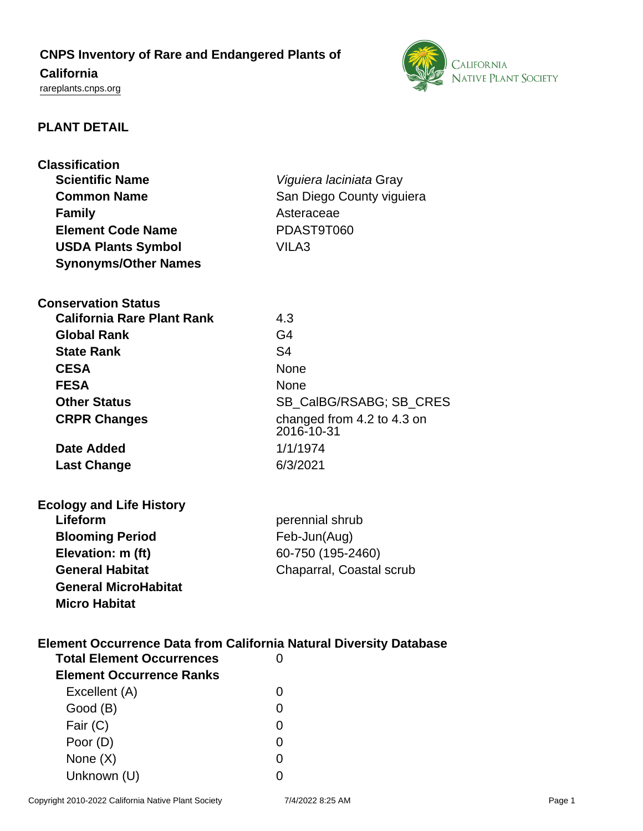# **CNPS Inventory of Rare and Endangered Plants of**

## **California**

<rareplants.cnps.org>



### **PLANT DETAIL**

| <b>Classification</b><br><b>Scientific Name</b><br><b>Common Name</b><br><b>Family</b><br><b>Element Code Name</b><br><b>USDA Plants Symbol</b>                                                      | Viguiera laciniata Gray<br>San Diego County viguiera<br>Asteraceae<br>PDAST9T060<br>VILA3                                      |
|------------------------------------------------------------------------------------------------------------------------------------------------------------------------------------------------------|--------------------------------------------------------------------------------------------------------------------------------|
| <b>Synonyms/Other Names</b>                                                                                                                                                                          |                                                                                                                                |
| <b>Conservation Status</b><br><b>California Rare Plant Rank</b><br><b>Global Rank</b><br><b>State Rank</b><br><b>CESA</b><br><b>FESA</b><br><b>Other Status</b><br><b>CRPR Changes</b><br>Date Added | 4.3<br>G <sub>4</sub><br>S <sub>4</sub><br>None<br>None<br>SB_CalBG/RSABG; SB_CRES<br>changed from 4.2 to 4.3 on<br>2016-10-31 |
| <b>Last Change</b>                                                                                                                                                                                   | 1/1/1974<br>6/3/2021                                                                                                           |
| <b>Ecology and Life History</b><br>Lifeform<br><b>Blooming Period</b><br>Elevation: m (ft)<br><b>General Habitat</b><br><b>General MicroHabitat</b><br><b>Micro Habitat</b>                          | perennial shrub<br>Feb-Jun(Aug)<br>60-750 (195-2460)<br>Chaparral, Coastal scrub                                               |
| Element Occurrence Data from California Natural Diversity Database<br><b>Total Element Occurrences</b><br><b>Element Occurrence Ranks</b>                                                            | 0                                                                                                                              |
| Excellent (A)                                                                                                                                                                                        | 0                                                                                                                              |
| Good (B)                                                                                                                                                                                             | 0                                                                                                                              |
| Fair (C)                                                                                                                                                                                             | 0                                                                                                                              |
| Poor (D)                                                                                                                                                                                             | O)                                                                                                                             |
| None $(X)$                                                                                                                                                                                           | $\Omega$                                                                                                                       |
| Unknown (U)                                                                                                                                                                                          | 0                                                                                                                              |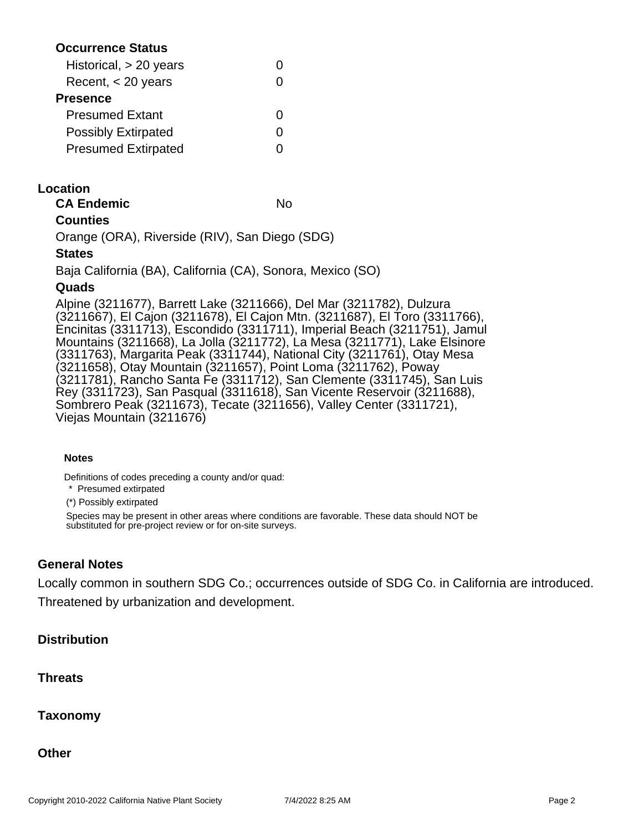#### **Occurrence Status**

| Historical, > 20 years     |   |
|----------------------------|---|
| Recent, $<$ 20 years       |   |
| Presence                   |   |
| <b>Presumed Extant</b>     | 0 |
| <b>Possibly Extirpated</b> |   |
| <b>Presumed Extirpated</b> |   |
|                            |   |

#### **Location**

| <b>CA Endemic</b> | No |
|-------------------|----|
| $\sim$ $\sim$     |    |

#### **Counties**

Orange (ORA), Riverside (RIV), San Diego (SDG)

#### **States**

Baja California (BA), California (CA), Sonora, Mexico (SO)

#### **Quads**

Alpine (3211677), Barrett Lake (3211666), Del Mar (3211782), Dulzura (3211667), El Cajon (3211678), El Cajon Mtn. (3211687), El Toro (3311766), Encinitas (3311713), Escondido (3311711), Imperial Beach (3211751), Jamul Mountains (3211668), La Jolla (3211772), La Mesa (3211771), Lake Elsinore (3311763), Margarita Peak (3311744), National City (3211761), Otay Mesa (3211658), Otay Mountain (3211657), Point Loma (3211762), Poway (3211781), Rancho Santa Fe (3311712), San Clemente (3311745), San Luis Rey (3311723), San Pasqual (3311618), San Vicente Reservoir (3211688), Sombrero Peak (3211673), Tecate (3211656), Valley Center (3311721), Viejas Mountain (3211676)

#### **Notes**

Definitions of codes preceding a county and/or quad:

\* Presumed extirpated

(\*) Possibly extirpated

Species may be present in other areas where conditions are favorable. These data should NOT be substituted for pre-project review or for on-site surveys.

#### **General Notes**

Locally common in southern SDG Co.; occurrences outside of SDG Co. in California are introduced. Threatened by urbanization and development.

#### **Distribution**

**Threats**

**Taxonomy**

**Other**